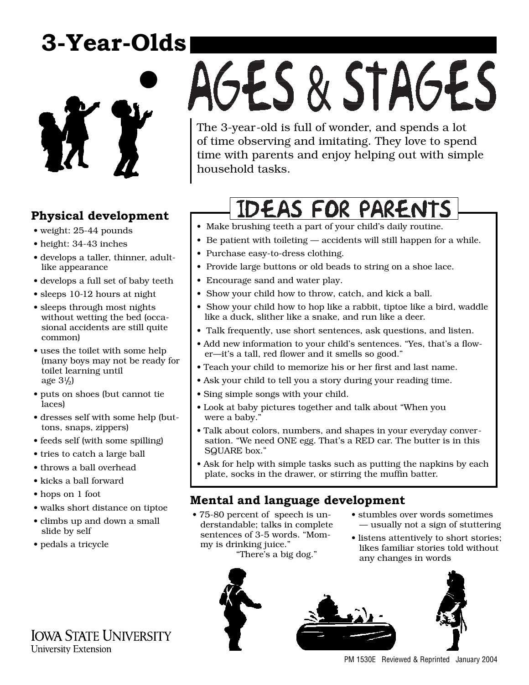# **3-Year-Olds**



# **Physical development**

- weight: 25-44 pounds
- height: 34-43 inches
- develops a taller, thinner, adultlike appearance
- develops a full set of baby teeth
- sleeps 10-12 hours at night
- sleeps through most nights without wetting the bed (occasional accidents are still quite common)
- uses the toilet with some help (many boys may not be ready for toilet learning until age 31 /2)
- puts on shoes (but cannot tie laces)
- dresses self with some help (buttons, snaps, zippers)
- feeds self (with some spilling)
- tries to catch a large ball
- throws a ball overhead
- kicks a ball forward
- hops on 1 foot
- walks short distance on tiptoe
- climbs up and down a small slide by self
- pedals a tricycle

# AGES & STAGES

The 3-year-old is full of wonder, and spends a lot of time observing and imitating. They love to spend time with parents and enjoy helping out with simple household tasks.

# **IDEAS FOR PARENTS**

- Make brushing teeth a part of your child's daily routine.
- Be patient with toileting accidents will still happen for a while.
- Purchase easy-to-dress clothing.
- Provide large buttons or old beads to string on a shoe lace.
- Encourage sand and water play.
- Show your child how to throw, catch, and kick a ball.
- Show your child how to hop like a rabbit, tiptoe like a bird, waddle like a duck, slither like a snake, and run like a deer.
- Talk frequently, use short sentences, ask questions, and listen.
- Add new information to your child's sentences. "Yes, that's a flower—it's a tall, red flower and it smells so good."
- Teach your child to memorize his or her first and last name.
- Ask your child to tell you a story during your reading time.
- Sing simple songs with your child.
- Look at baby pictures together and talk about "When you were a baby.'
- Talk about colors, numbers, and shapes in your everyday conversation. "We need ONE egg. That's a RED car. The butter is in this SQUARE box."
- Ask for help with simple tasks such as putting the napkins by each plate, socks in the drawer, or stirring the muffin batter.

# **Mental and language development**

- 75-80 percent of speech is understandable; talks in complete sentences of 3-5 words. "Mommy is drinking juice." "There's a big dog."
- stumbles over words sometimes — usually not a sign of stuttering
- listens attentively to short stories; likes familiar stories told without any changes in words



PM 1530E Reviewed & Reprinted January 2004

**IOWA STATE UNIVERSITY University Extension**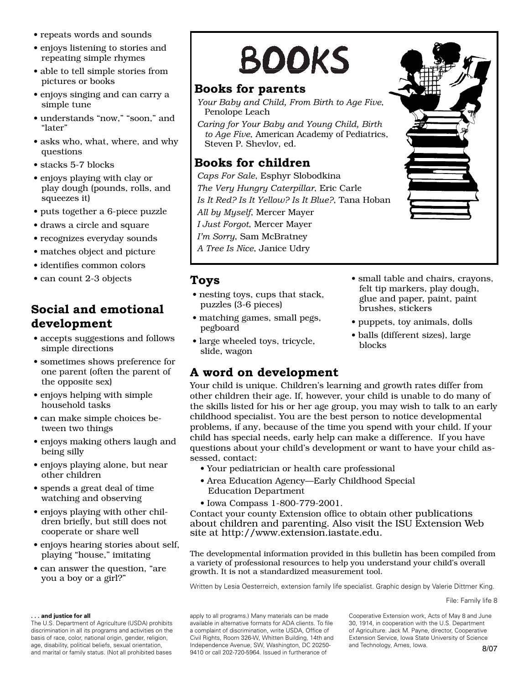- repeats words and sounds
- enjoys listening to stories and repeating simple rhymes
- able to tell simple stories from pictures or books
- enjoys singing and can carry a simple tune
- understands "now," "soon," and "later"
- asks who, what, where, and why questions
- stacks 5-7 blocks
- enjoys playing with clay or play dough (pounds, rolls, and squeezes it)
- puts together a 6-piece puzzle
- draws a circle and square
- recognizes everyday sounds
- matches object and picture
- identifies common colors
- can count 2-3 objects

## **Social and emotional development**

- accepts suggestions and follows simple directions
- sometimes shows preference for one parent (often the parent of the opposite sex)
- enjoys helping with simple household tasks
- can make simple choices between two things
- enjoys making others laugh and being silly
- enjoys playing alone, but near other children
- spends a great deal of time watching and observing
- enjoys playing with other children briefly, but still does not cooperate or share well
- enjoys hearing stories about self, playing "house," imitating
- can answer the question, "are you a boy or a girl?"

#### **. . . and justice for all**

The U.S. Department of Agriculture (USDA) prohibits discrimination in all its programs and activities on the basis of race, color, national origin, gender, religion, age, disability, political beliefs, sexual orientation, and marital or family status. (Not all prohibited bases

# **BOOKS**

## **Books for parents**

- *Your Baby and Child, From Birth to Age Five*, Penolope Leach
- *Caring for Your Baby and Young Child, Birth to Age Five*, American Academy of Pediatrics, Steven P. Shevlov, ed.

## **Books for children**

*Caps For Sale*, Esphyr Slobodkina *The Very Hungry Caterpillar*, Eric Carle *Is It Red? Is It Yellow? Is It Blue?*, Tana Hoban *All by Myself*, Mercer Mayer *I Just Forgot*, Mercer Mayer *I'm Sorry*, Sam McBratney

*A Tree Is Nice*, Janice Udry

### **Toys**

- nesting toys, cups that stack, puzzles (3-6 pieces)
- matching games, small pegs, pegboard
- large wheeled toys, tricycle, slide, wagon

## **A word on development**

Your child is unique. Children's learning and growth rates differ from other children their age. If, however, your child is unable to do many of the skills listed for his or her age group, you may wish to talk to an early childhood specialist. You are the best person to notice developmental problems, if any, because of the time you spend with your child. If your child has special needs, early help can make a difference. If you have questions about your child's development or want to have your child assessed, contact:

- Your pediatrician or health care professional
- Area Education Agency—Early Childhood Special Education Department
- Iowa Compass 1-800-779-2001.

Contact your county Extension office to obtain other publications abou[t children and parenting. Also visit the](http://www.extension.iastate.edu) ISU Extension Web site at http://www.extension.iastate.edu.

The developmental information provided in this bulletin has been compiled from a variety of professional resources to help you understand your child's overall growth. It is not a standardized measurement tool.

Written by Lesia Oesterreich, extension family life specialist. Graphic design by Valerie Dittmer King.

File: Family life 8

apply to all programs.) Many materials can be made available in alternative formats for ADA clients. To file a complaint of discrimination, write USDA, Office of Civil Rights, Room 326-W, Whitten Building, 14th and Independence Avenue, SW, Washington, DC 20250- 9410 or call 202-720-5964. Issued in furtherance of

Cooperative Extension work, Acts of May 8 and June 30, 1914, in cooperation with the U.S. Department of Agriculture. Jack M. Payne, director, Cooperative Extension Service, Iowa State University of Science and Technology, Ames, Iowa. **8/07** 



glue and paper, paint, paint brushes, stickers • puppets, toy animals, dolls

• small table and chairs, crayons, felt tip markers, play dough,

• balls (different sizes), large blocks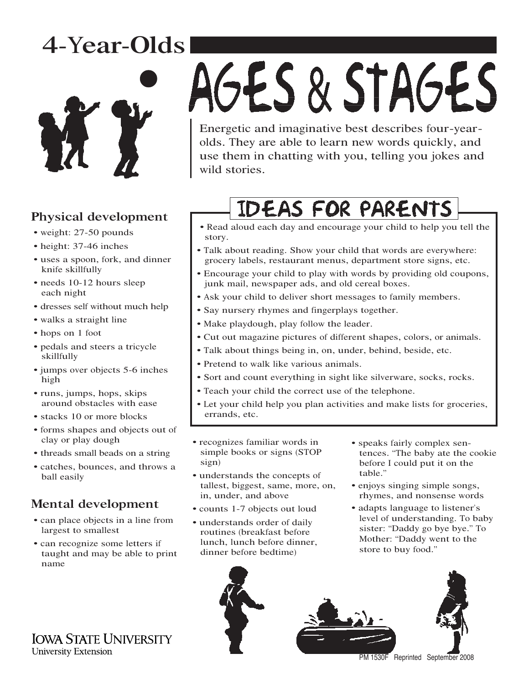# 4-Year-Olds



# Physical development

- weight: 27-50 pounds
- height: 37-46 inches
- uses a spoon, fork, and dinner knife skillfully
- needs 10-12 hours sleep each night
- dresses self without much help
- walks a straight line
- hops on 1 foot
- pedals and steers a tricycle skillfully
- jumps over objects 5-6 inches high
- runs, jumps, hops, skips around obstacles with ease
- stacks 10 or more blocks
- forms shapes and objects out of clay or play dough
- threads small beads on a string
- catches, bounces, and throws a ball easily

# Mental development

- can place objects in a line from largest to smallest
- can recognize some letters if taught and may be able to print name

# AGES & STAGES

Energetic and imaginative best describes four-yearolds. They are able to learn new words quickly, and use them in chatting with you, telling you jokes and wild stories.

# **IDEAS FOR PARENTS**

- Read aloud each day and encourage your child to help you tell the story.
- Talk about reading. Show your child that words are everywhere: grocery labels, restaurant menus, department store signs, etc.
- Encourage your child to play with words by providing old coupons, junk mail, newspaper ads, and old cereal boxes.
- Ask your child to deliver short messages to family members.
- Say nursery rhymes and fingerplays together.
- Make playdough, play follow the leader.
- Cut out magazine pictures of different shapes, colors, or animals.
- Talk about things being in, on, under, behind, beside, etc.
- Pretend to walk like various animals.
- Sort and count everything in sight like silverware, socks, rocks.
- Teach your child the correct use of the telephone.
- Let your child help you plan activities and make lists for groceries, errands, etc.
- recognizes familiar words in simple books or signs (STOP sign)
- understands the concepts of tallest, biggest, same, more, on, in, under, and above
- counts 1-7 objects out loud
- understands order of daily routines (breakfast before lunch, lunch before dinner, dinner before bedtime)
- speaks fairly complex sentences. "The baby ate the cookie before I could put it on the table."
- enjoys singing simple songs, rhymes, and nonsense words
- adapts language to listener's level of understanding. To baby sister: "Daddy go bye bye." To Mother: "Daddy went to the store to buy food."



PM 1530F Reprinted September 2008

**IOWA STATE UNIVERSITY** University Extension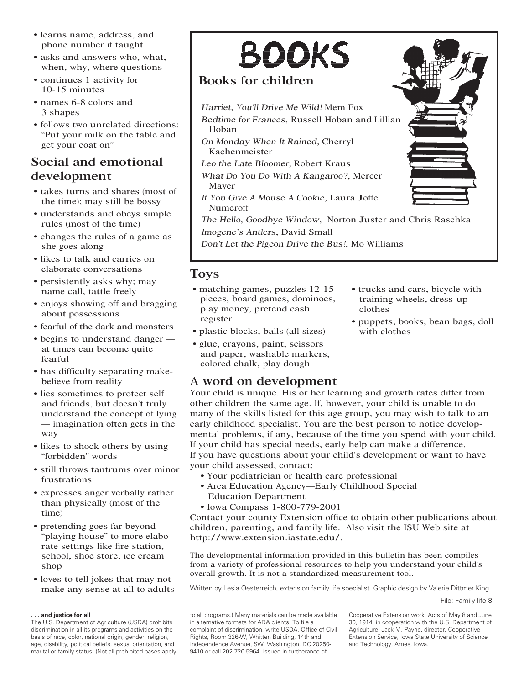- learns name, address, and phone number if taught
- asks and answers who, what, when, why, where questions
- continues 1 activity for 10-15 minutes
- names 6-8 colors and 3 shapes
- follows two unrelated directions: "Put your milk on the table and get your coat on"

## Social and emotional development

- takes turns and shares (most of the time); may still be bossy
- understands and obeys simple rules (most of the time)
- changes the rules of a game as she goes along
- likes to talk and carries on elaborate conversations
- persistently asks why; may name call, tattle freely
- enjoys showing off and bragging about possessions
- fearful of the dark and monsters
- begins to understand danger at times can become quite fearful
- has difficulty separating makebelieve from reality
- lies sometimes to protect self and friends, but doesn't truly understand the concept of lying — imagination often gets in the way
- likes to shock others by using "forbidden" words
- still throws tantrums over minor frustrations
- expresses anger verbally rather than physically (most of the time)
- pretending goes far beyond "playing house" to more elaborate settings like fire station, school, shoe store, ice cream shop
- loves to tell jokes that may not make any sense at all to adults

#### **. . . and justice for all**

The U.S. Department of Agriculture (USDA) prohibits discrimination in all its programs and activities on the basis of race, color, national origin, gender, religion, age, disability, political beliefs, sexual orientation, and marital or family status. (Not all prohibited bases apply

# **BOOKS**

## Books for children

Harriet, You'll Driv<sup>e</sup> M<sup>e</sup> Wild! Mem Fox

<sup>B</sup>edtim<sup>e</sup> <sup>f</sup>o<sup>r</sup> <sup>F</sup>rances, Russell Hoban and Lillian Hoban

- O<sup>n</sup> <sup>M</sup>ond<sup>a</sup><sup>y</sup> <sup>W</sup>he<sup>n</sup> <sup>I</sup><sup>t</sup> <sup>R</sup>ained, Cherryl Kachenmeister
- <sup>L</sup>e<sup>o</sup> th<sup>e</sup> <sup>L</sup>at<sup>e</sup> <sup>B</sup>loomer, Robert Kraus
- <sup>W</sup>hat <sup>D</sup><sup>o</sup> <sup>Y</sup>o<sup>u</sup> <sup>D</sup><sup>o</sup> <sup>W</sup>ith <sup>A</sup> <sup>K</sup>angaroo?, Mercer Mayer
- <sup>I</sup><sup>f</sup> <sup>Y</sup>o<sup>u</sup> <sup>G</sup>iv<sup>e</sup> <sup>A</sup> <sup>M</sup>ous<sup>e</sup> <sup>A</sup> <sup>C</sup>ookie, Laura Joffe Numeroff

<sup>T</sup>h<sup>e</sup> <sup>H</sup>ell<sup>o</sup>, <sup>G</sup>oodby<sup>e</sup> <sup>W</sup>ind<sup>o</sup>w, Norton Juster and Chris <sup>R</sup>aschka <sup>I</sup>mogene'<sup>s</sup> Antlers, David Small

<sup>D</sup>on'<sup>t</sup> <sup>L</sup>e<sup>t</sup> th<sup>e</sup> <sup>P</sup>igeo<sup>n</sup> <sup>D</sup>riv<sup>e</sup> th<sup>e</sup> <sup>B</sup>u<sup>s</sup>!, Mo Williams

### Toys

- matching games, puzzles 12-15 pieces, board games, dominoes, play money, pretend cash register
- plastic blocks, balls (all sizes)
- glue, crayons, paint, scissors and paper, washable markers, colored chalk, play dough

## A word on development

Your child is unique. His or her learning and growth rates differ from other children the same age. If, however, your child is unable to do many of the skills listed for this age group, you may wish to talk to an early childhood specialist. You are the best person to notice developmental problems, if any, because of the time you spend with your child. If your child has special needs, early help can make a difference. If you have questions about your child's development or want to have your child assessed, contact:

- Your pediatrician or health care professional
- Area Education Agency—Early Childhood Special Education Department
- Iowa Compass 1-800-779-2001

Contact your county Extension office to obtain other publications about children, parenting, and family life. Also visit the ISU Web site at http: / /www.extension.iastate.edu/.

The developmental information provided in this bulletin has been compiles from a variety of professional resources to help you understand your child's overall growth. It is not a standardized measurement tool.

Written by Lesia Oesterreich, extension family life specialist. Graphic design by Valerie Dittmer King.

File: Family life 8

to all programs.) Many materials can be made available in alternative formats for ADA clients. To file a complaint of discrimination, write USDA, Office of Civil Rights, Room 326-W, Whitten Building, 14th and Independence Avenue, SW, Washington, DC 20250- 9410 or call 202-720-5964. Issued in furtherance of

Cooperative Extension work, Acts of May 8 and June 30, 1914, in cooperation with the U.S. Department of Agriculture. Jack M. Payne, director, Cooperative Extension Service, Iowa State University of Science and Technology, Ames, Iowa.



• trucks and cars, bicycle with training wheels, dress-up

• puppets, books, bean bags, doll

clothes

with clothes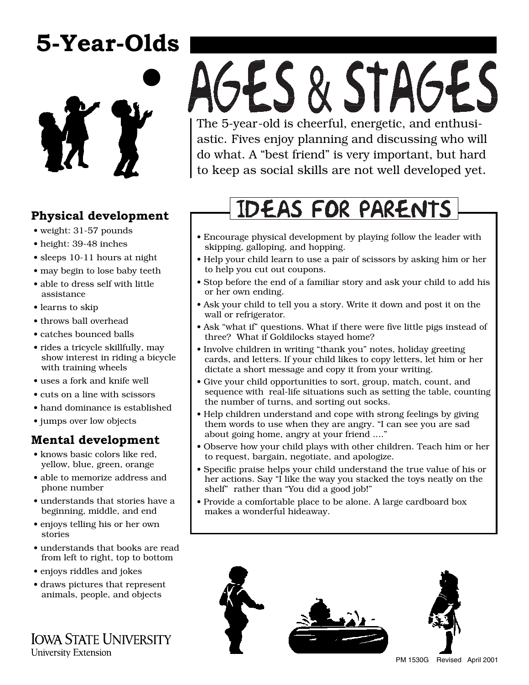# **5-Year-Olds**



# **Physical development**

- weight: 31-57 pounds
- height: 39-48 inches
- sleeps 10-11 hours at night
- may begin to lose baby teeth
- able to dress self with little assistance
- learns to skip
- throws ball overhead
- catches bounced balls
- rides a tricycle skillfully, may show interest in riding a bicycle with training wheels
- uses a fork and knife well
- cuts on a line with scissors
- hand dominance is established
- jumps over low objects

# **Mental development**

- knows basic colors like red, yellow, blue, green, orange
- able to memorize address and phone number
- understands that stories have a beginning, middle, and end
- enjoys telling his or her own stories
- understands that books are read from left to right, top to bottom
- enjoys riddles and jokes
- draws pictures that represent animals, people, and objects

**IOWA STATE UNIVERSITY University Extension** 

# AGES & STAGES The 5-year-old is cheerful, energetic, and enthusi-

astic. Fives enjoy planning and discussing who will do what. A "best friend" is very important, but hard to keep as social skills are not well developed yet.

# **IDEAS FOR PARENTS**

- Encourage physical development by playing follow the leader with skipping, galloping, and hopping.
- Help your child learn to use a pair of scissors by asking him or her to help you cut out coupons.
- Stop before the end of a familiar story and ask your child to add his or her own ending.
- Ask your child to tell you a story. Write it down and post it on the wall or refrigerator.
- Ask "what if" questions. What if there were five little pigs instead of three? What if Goldilocks stayed home?
- Involve children in writing "thank you" notes, holiday greeting cards, and letters. If your child likes to copy letters, let him or her dictate a short message and copy it from your writing.
- Give your child opportunities to sort, group, match, count, and sequence with real-life situations such as setting the table, counting the number of turns, and sorting out socks.
- Help children understand and cope with strong feelings by giving them words to use when they are angry. "I can see you are sad about going home, angry at your friend ...."
- Observe how your child plays with other children. Teach him or her to request, bargain, negotiate, and apologize.
- Specific praise helps your child understand the true value of his or her actions. Say "I like the way you stacked the toys neatly on the shelf" rather than "You did a good job!"
- Provide a comfortable place to be alone. A large cardboard box makes a wonderful hideaway.



PM 1530G Revised April 2001